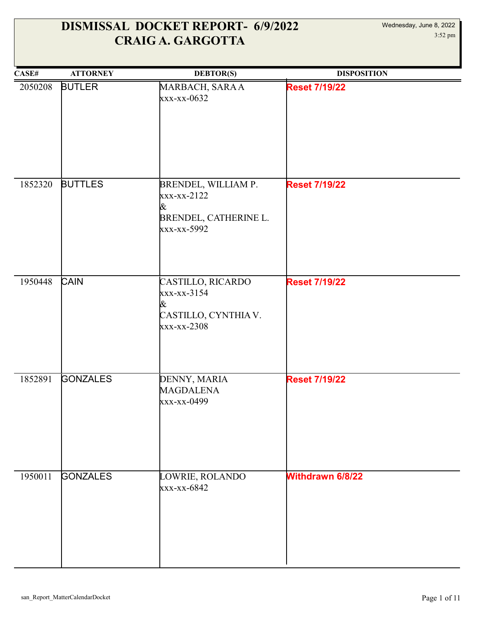| CASE#   | <b>ATTORNEY</b> | <b>DEBTOR(S)</b>                                                                            | <b>DISPOSITION</b>      |
|---------|-----------------|---------------------------------------------------------------------------------------------|-------------------------|
| 2050208 | <b>BUTLER</b>   | MARBACH, SARA A<br>xxx-xx-0632                                                              | <b>Reset 7/19/22</b>    |
| 1852320 | <b>BUTTLES</b>  | BRENDEL, WILLIAM P.<br>$\frac{x}{x-x-x-2122}$<br>&<br>BRENDEL, CATHERINE L.<br>xxx-xx-5992  | <b>Reset 7/19/22</b>    |
| 1950448 | CAIN            | CASTILLO, RICARDO<br>xxx-xx-3154<br>&<br>CASTILLO, CYNTHIA V.<br>$\frac{xx - xx - 2308}{x}$ | <b>Reset 7/19/22</b>    |
| 1852891 | <b>GONZALES</b> | DENNY, MARIA<br><b>MAGDALENA</b><br>xxx-xx-0499                                             | <b>Reset 7/19/22</b>    |
| 1950011 | <b>GONZALES</b> | LOWRIE, ROLANDO<br>xxx-xx-6842                                                              | <b>Withdrawn 6/8/22</b> |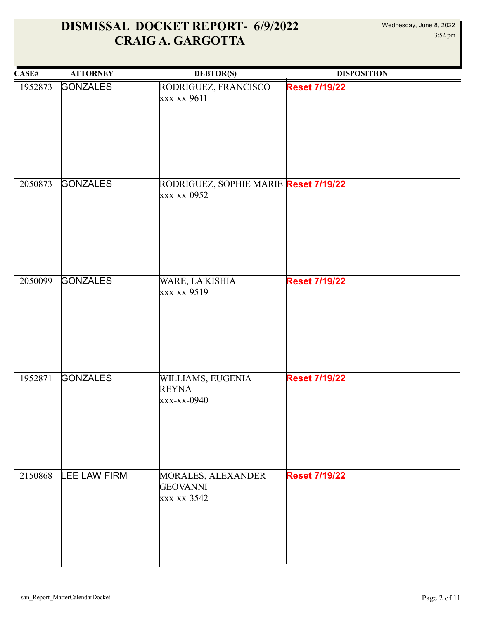| CASE#   | <b>ATTORNEY</b> | <b>DEBTOR(S)</b>                                                  | <b>DISPOSITION</b>   |
|---------|-----------------|-------------------------------------------------------------------|----------------------|
| 1952873 | <b>GONZALES</b> | RODRIGUEZ, FRANCISCO<br>xxx-xx-9611                               | <b>Reset 7/19/22</b> |
| 2050873 | <b>GONZALES</b> | RODRIGUEZ, SOPHIE MARIE <mark>Reset 7/19/22</mark><br>xxx-xx-0952 |                      |
| 2050099 | <b>GONZALES</b> | WARE, LA'KISHIA<br>xxx-xx-9519                                    | <b>Reset 7/19/22</b> |
| 1952871 | <b>GONZALES</b> | WILLIAMS, EUGENIA<br><b>REYNA</b><br>xxx-xx-0940                  | <b>Reset 7/19/22</b> |
| 2150868 | LEE LAW FIRM    | MORALES, ALEXANDER<br><b>GEOVANNI</b><br>xxx-xx-3542              | <b>Reset 7/19/22</b> |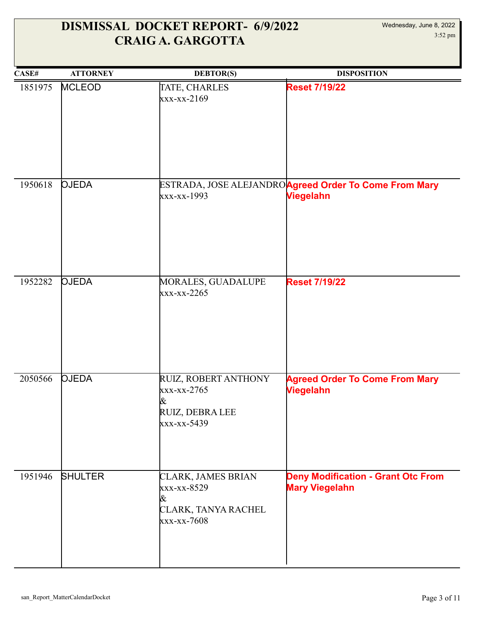| CASE#   | <b>ATTORNEY</b> | <b>DEBTOR(S)</b>                                                             | <b>DISPOSITION</b>                                                        |
|---------|-----------------|------------------------------------------------------------------------------|---------------------------------------------------------------------------|
| 1851975 | <b>MCLEOD</b>   | TATE, CHARLES<br>xxx-xx-2169                                                 | <b>Reset 7/19/22</b>                                                      |
| 1950618 | <b>OJEDA</b>    | xxx-xx-1993                                                                  | ESTRADA, JOSE ALEJANDROAgreed Order To Come From Mary<br><b>Viegelahn</b> |
| 1952282 | <b>OJEDA</b>    | MORALES, GUADALUPE<br>$XXX-XX-2265$                                          | <b>Reset 7/19/22</b>                                                      |
| 2050566 | <b>OJEDA</b>    | RUIZ, ROBERT ANTHONY<br>xxx-xx-2765<br>&<br>RUIZ, DEBRA LEE<br>xxx-xx-5439   | <b>Agreed Order To Come From Mary</b><br><b>Viegelahn</b>                 |
| 1951946 | <b>SHULTER</b>  | CLARK, JAMES BRIAN<br>xxx-xx-8529<br>&<br>CLARK, TANYA RACHEL<br>xxx-xx-7608 | <b>Deny Modification - Grant Otc From</b><br><b>Mary Viegelahn</b>        |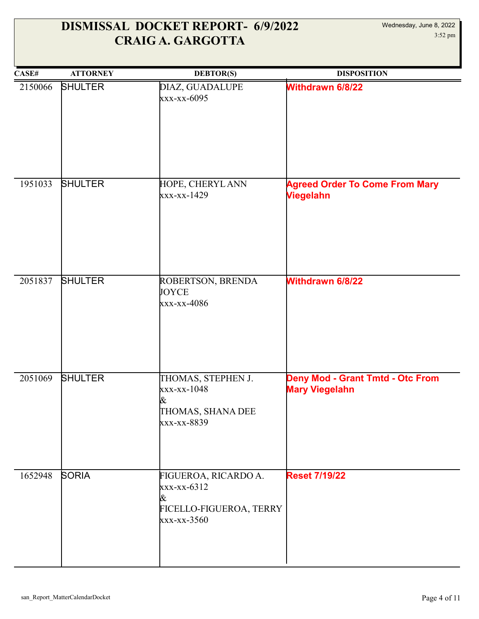| CASE#   | <b>ATTORNEY</b> | <b>DEBTOR(S)</b>                                                                   | <b>DISPOSITION</b>                                               |
|---------|-----------------|------------------------------------------------------------------------------------|------------------------------------------------------------------|
| 2150066 | <b>SHULTER</b>  | DIAZ, GUADALUPE<br>xxx-xx-6095                                                     | <b>Withdrawn 6/8/22</b>                                          |
| 1951033 | <b>SHULTER</b>  | HOPE, CHERYL ANN<br>xxx-xx-1429                                                    | <b>Agreed Order To Come From Mary</b><br><b>Viegelahn</b>        |
| 2051837 | <b>SHULTER</b>  | ROBERTSON, BRENDA<br><b>JOYCE</b><br>xxx-xx-4086                                   | <b>Withdrawn 6/8/22</b>                                          |
| 2051069 | <b>SHULTER</b>  | THOMAS, STEPHEN J.<br>xxx-xx-1048<br>&<br>THOMAS, SHANA DEE<br>xxx-xx-8839         | <b>Deny Mod - Grant Tmtd - Otc From</b><br><b>Mary Viegelahn</b> |
| 1652948 | <b>SORIA</b>    | FIGUEROA, RICARDO A.<br>xxx-xx-6312<br>&<br>FICELLO-FIGUEROA, TERRY<br>xxx-xx-3560 | <b>Reset 7/19/22</b>                                             |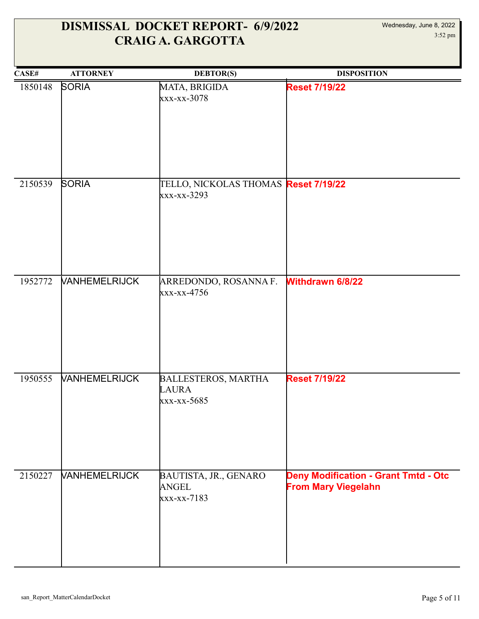| CASE#   | <b>ATTORNEY</b>      | <b>DEBTOR(S)</b>                                           | <b>DISPOSITION</b>                                                        |
|---------|----------------------|------------------------------------------------------------|---------------------------------------------------------------------------|
| 1850148 | <b>SORIA</b>         | MATA, BRIGIDA<br>xxx-xx-3078                               | <b>Reset 7/19/22</b>                                                      |
| 2150539 | <b>SORIA</b>         | <b>TELLO, NICKOLAS THOMAS Reset 7/19/22</b><br>xxx-xx-3293 |                                                                           |
| 1952772 | <b>VANHEMELRIJCK</b> | ARREDONDO, ROSANNA F.<br>$xxx-xx-4756$                     | <b>Withdrawn 6/8/22</b>                                                   |
| 1950555 | <b>VANHEMELRIJCK</b> | BALLESTEROS, MARTHA<br>LAURA<br>xxx-xx-5685                | <b>Reset 7/19/22</b>                                                      |
| 2150227 | <b>VANHEMELRIJCK</b> | BAUTISTA, JR., GENARO<br><b>ANGEL</b><br>xxx-xx-7183       | <b>Deny Modification - Grant Tmtd - Otc</b><br><b>From Mary Viegelahn</b> |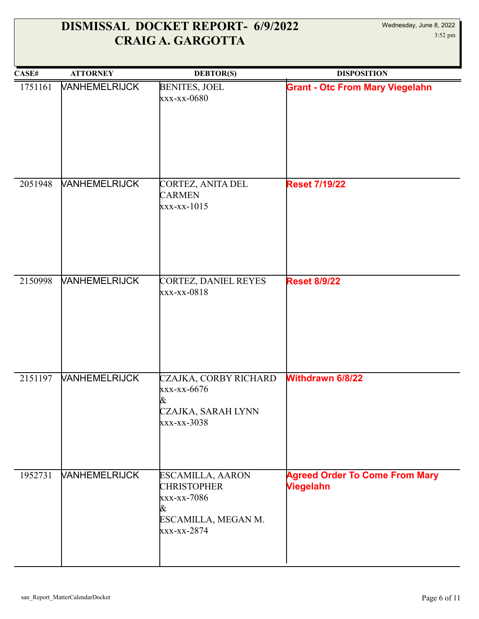| CASE#   | <b>ATTORNEY</b>             | DEBTOR(S)                                                                                        | <b>DISPOSITION</b>                                        |
|---------|-----------------------------|--------------------------------------------------------------------------------------------------|-----------------------------------------------------------|
| 1751161 | <b>VANHEMELRIJCK</b>        | <b>BENITES, JOEL</b><br>xxx-xx-0680                                                              | <b>Grant - Otc From Mary Viegelahn</b>                    |
| 2051948 | <b><i>NANHEMELRIJCK</i></b> | CORTEZ, ANITA DEL<br><b>CARMEN</b><br>xxx-xx-1015                                                | <b>Reset 7/19/22</b>                                      |
| 2150998 | <b>VANHEMELRIJCK</b>        | CORTEZ, DANIEL REYES<br>xxx-xx-0818                                                              | <b>Reset 8/9/22</b>                                       |
| 2151197 | <b>VANHEMELRIJCK</b>        | CZAJKA, CORBY RICHARD<br>xxx-xx-6676<br>&<br>CZAJKA, SARAH LYNN<br>xxx-xx-3038                   | <b>Withdrawn 6/8/22</b>                                   |
| 1952731 | <b><i>VANHEMELRIJCK</i></b> | ESCAMILLA, AARON<br><b>CHRISTOPHER</b><br>xxx-xx-7086<br>&<br>ESCAMILLA, MEGAN M.<br>xxx-xx-2874 | <b>Agreed Order To Come From Mary</b><br><b>Viegelahn</b> |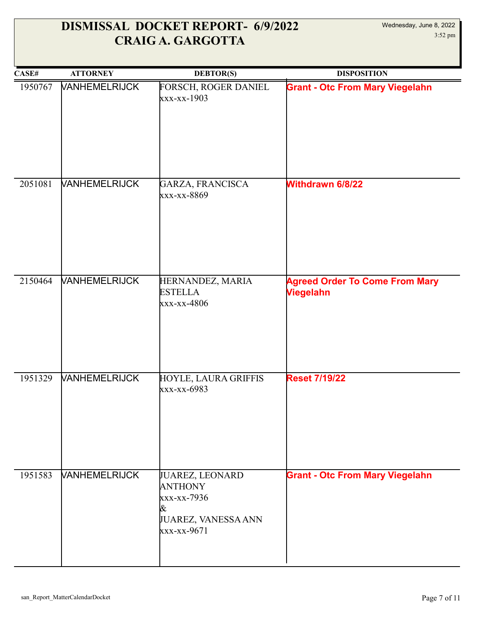| CASE#   | <b>ATTORNEY</b>             | <b>DEBTOR(S)</b>                                                                            | <b>DISPOSITION</b>                                        |
|---------|-----------------------------|---------------------------------------------------------------------------------------------|-----------------------------------------------------------|
| 1950767 | <b>VANHEMELRIJCK</b>        | FORSCH, ROGER DANIEL<br>xxx-xx-1903                                                         | <b>Grant - Otc From Mary Viegelahn</b>                    |
| 2051081 | <b><i>NANHEMELRIJCK</i></b> | GARZA, FRANCISCA<br>xxx-xx-8869                                                             | <b>Withdrawn 6/8/22</b>                                   |
| 2150464 | <b>VANHEMELRIJCK</b>        | HERNANDEZ, MARIA<br><b>ESTELLA</b><br>xxx-xx-4806                                           | <b>Agreed Order To Come From Mary</b><br><b>Viegelahn</b> |
| 1951329 | <b>VANHEMELRIJCK</b>        | HOYLE, LAURA GRIFFIS<br>xxx-xx-6983                                                         | <b>Reset 7/19/22</b>                                      |
| 1951583 | <b>VANHEMELRIJCK</b>        | JUAREZ, LEONARD<br><b>ANTHONY</b><br>xxx-xx-7936<br>&<br>JUAREZ, VANESSA ANN<br>xxx-xx-9671 | <b>Grant - Otc From Mary Viegelahn</b>                    |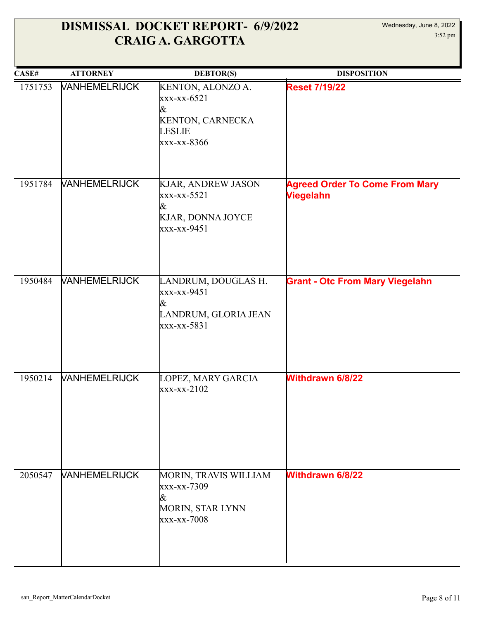| CASE#   | <b>ATTORNEY</b>             | DEBTOR(S)                                                                                 | <b>DISPOSITION</b>                                        |
|---------|-----------------------------|-------------------------------------------------------------------------------------------|-----------------------------------------------------------|
| 1751753 | <b>VANHEMELRIJCK</b>        | KENTON, ALONZO A.<br>xxx-xx-6521<br>&<br>KENTON, CARNECKA<br><b>LESLIE</b><br>xxx-xx-8366 | <b>Reset 7/19/22</b>                                      |
| 1951784 | <b>VANHEMELRIJCK</b>        | KJAR, ANDREW JASON<br>xxx-xx-5521<br>&<br>KJAR, DONNA JOYCE<br>xxx-xx-9451                | <b>Agreed Order To Come From Mary</b><br><b>Viegelahn</b> |
| 1950484 | <b>VANHEMELRIJCK</b>        | LANDRUM, DOUGLAS H.<br>xxx-xx-9451<br>&<br>LANDRUM, GLORIA JEAN<br>xxx-xx-5831            | <b>Grant - Otc From Mary Viegelahn</b>                    |
| 1950214 | <b>VANHEMELRIJCK</b>        | LOPEZ, MARY GARCIA<br>$xxx-xx-2102$                                                       | <b>Withdrawn 6/8/22</b>                                   |
| 2050547 | <b><i>NANHEMELRIJCK</i></b> | MORIN, TRAVIS WILLIAM<br>xxx-xx-7309<br>&<br>MORIN, STAR LYNN<br>xxx-xx-7008              | <b>Withdrawn 6/8/22</b>                                   |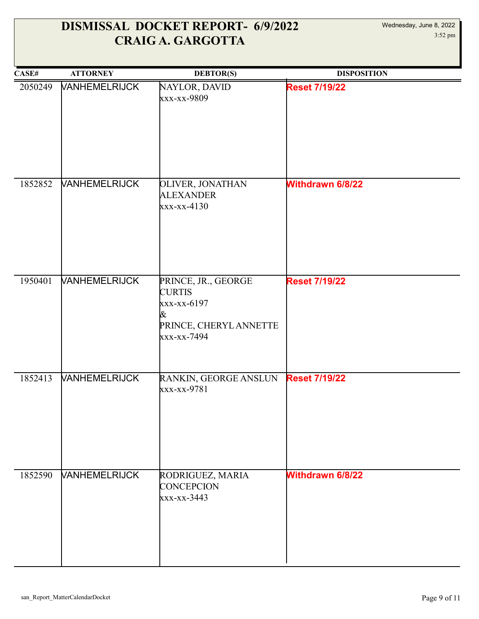| CASE#   | <b>ATTORNEY</b>             | <b>DEBTOR(S)</b>                                                                                  | <b>DISPOSITION</b>      |
|---------|-----------------------------|---------------------------------------------------------------------------------------------------|-------------------------|
| 2050249 | <b>VANHEMELRIJCK</b>        | NAYLOR, DAVID<br>xxx-xx-9809                                                                      | <b>Reset 7/19/22</b>    |
| 1852852 | <b>VANHEMELRIJCK</b>        | <b>OLIVER, JONATHAN</b><br><b>ALEXANDER</b><br>$xxx-xx-4130$                                      | <b>Withdrawn 6/8/22</b> |
| 1950401 | <b>VANHEMELRIJCK</b>        | PRINCE, JR., GEORGE<br><b>CURTIS</b><br>xxx-xx-6197<br>&<br>PRINCE, CHERYL ANNETTE<br>xxx-xx-7494 | <b>Reset 7/19/22</b>    |
| 1852413 | <b>VANHEMELRIJCK</b>        | RANKIN, GEORGE ANSLUN<br>xxx-xx-9781                                                              | <b>Reset 7/19/22</b>    |
| 1852590 | <b><i>NANHEMELRIJCK</i></b> | RODRIGUEZ, MARIA<br><b>CONCEPCION</b><br>xxx-xx-3443                                              | <b>Withdrawn 6/8/22</b> |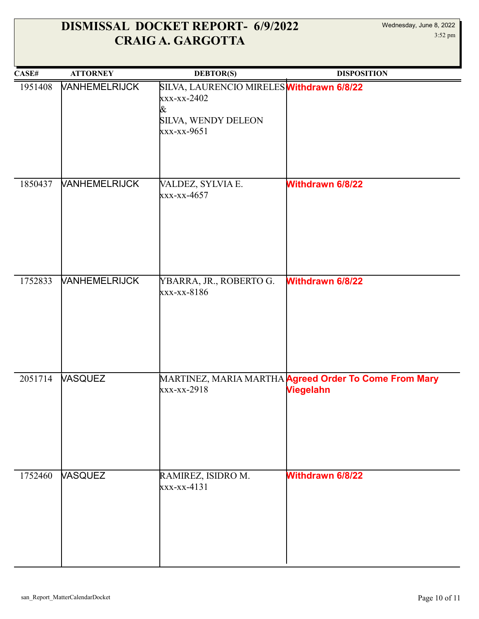| CASE#   | <b>ATTORNEY</b>      | <b>DEBTOR(S)</b>                                                                                    | <b>DISPOSITION</b>                                                        |
|---------|----------------------|-----------------------------------------------------------------------------------------------------|---------------------------------------------------------------------------|
| 1951408 | <b>VANHEMELRIJCK</b> | SILVA, LAURENCIO MIRELES Withdrawn 6/8/22<br>xxx-xx-2402<br>&<br>SILVA, WENDY DELEON<br>xxx-xx-9651 |                                                                           |
| 1850437 | <b>VANHEMELRIJCK</b> | VALDEZ, SYLVIA E.<br>xxx-xx-4657                                                                    | <b>Withdrawn 6/8/22</b>                                                   |
| 1752833 | <b>VANHEMELRIJCK</b> | YBARRA, JR., ROBERTO G.<br>xxx-xx-8186                                                              | <b>Withdrawn 6/8/22</b>                                                   |
| 2051714 | <b>VASQUEZ</b>       | xxx-xx-2918                                                                                         | MARTINEZ, MARIA MARTHA Agreed Order To Come From Mary<br><b>Viegelahn</b> |
| 1752460 | <b>VASQUEZ</b>       | RAMIREZ, ISIDRO M.<br>$xxx-xx-4131$                                                                 | <b>Withdrawn 6/8/22</b>                                                   |